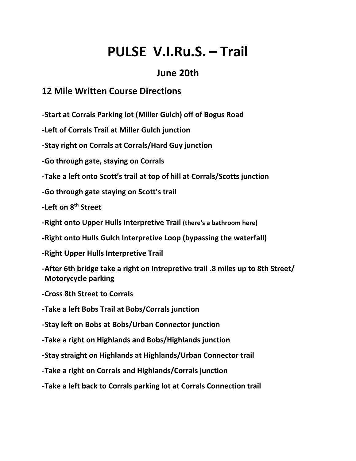# **PULSE V.I.Ru.S. – Trail**

### **June 20th**

#### **12 Mile Written Course Directions**

**-Start at Corrals Parking lot (Miller Gulch) off of Bogus Road**

**-Left of Corrals Trail at Miller Gulch junction**

**-Stay right on Corrals at Corrals/Hard Guy junction**

**-Go through gate, staying on Corrals**

**-Take a left onto Scott's trail at top of hill at Corrals/Scotts junction**

**-Go through gate staying on Scott's trail**

**-Left on 8th Street**

**-Right onto Upper Hulls Interpretive Trail (there's a bathroom here)**

**-Right onto Hulls Gulch Interpretive Loop (bypassing the waterfall) -**

**-Right Upper Hulls Interpretive Trail**

**-After 6th bridge take a right on Intrepretive trail .8 miles up to 8th Street/ Motorycycle parking**

**-Cross 8th Street to Corrals**

**-Take a left Bobs Trail at Bobs/Corrals junction**

**-Stay left on Bobs at Bobs/Urban Connector junction**

**-Take a right on Highlands and Bobs/Highlands junction**

**-Stay straight on Highlands at Highlands/Urban Connector trail**

**-Take a right on Corrals and Highlands/Corrals junction**

**-Take a left back to Corrals parking lot at Corrals Connection trail**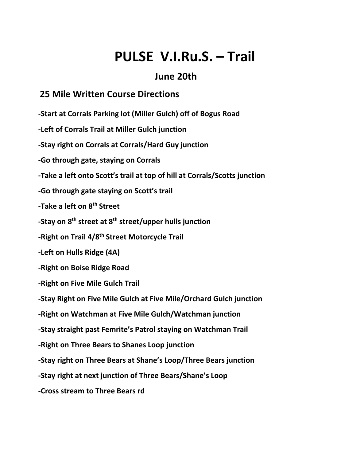## **PULSE V.I.Ru.S. – Trail**

## **June 20th**

### **25 Mile Written Course Directions**

**-Start at Corrals Parking lot (Miller Gulch) off of Bogus Road**

**-Left of Corrals Trail at Miller Gulch junction**

**-Stay right on Corrals at Corrals/Hard Guy junction**

**-Go through gate, staying on Corrals**

**-Take a left onto Scott's trail at top of hill at Corrals/Scotts junction**

**-Go through gate staying on Scott's trail**

**-Take a left on 8th Street**

**-Stay on 8th street at 8th street/upper hulls junction**

**-Right on Trail 4/8th Street Motorcycle Trail**

**-Left on Hulls Ridge (4A)**

**-Right on Boise Ridge Road**

**-Right on Five Mile Gulch Trail**

**-Stay Right on Five Mile Gulch at Five Mile/Orchard Gulch junction**

**-Right on Watchman at Five Mile Gulch/Watchman junction**

**-Stay straight past Femrite's Patrol staying on Watchman Trail**

**-Right on Three Bears to Shanes Loop junction**

**-Stay right on Three Bears at Shane's Loop/Three Bears junction**

**-Stay right at next junction of Three Bears/Shane's Loop**

**-Cross stream to Three Bears rd**